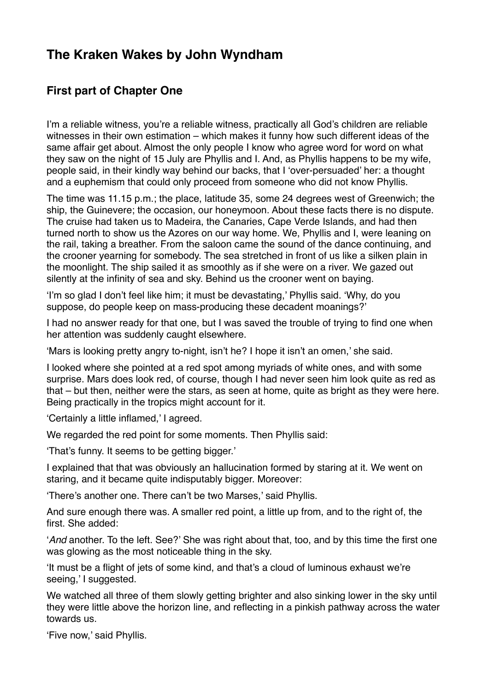## **The Kraken Wakes by John Wyndham**

## **First part of Chapter One**

I'm a reliable witness, you're a reliable witness, practically all God's children are reliable witnesses in their own estimation – which makes it funny how such different ideas of the same affair get about. Almost the only people I know who agree word for word on what they saw on the night of 15 July are Phyllis and I. And, as Phyllis happens to be my wife, people said, in their kindly way behind our backs, that I 'over-persuaded' her: a thought and a euphemism that could only proceed from someone who did not know Phyllis.

The time was 11.15 p.m.; the place, latitude 35, some 24 degrees west of Greenwich; the ship, the Guinevere; the occasion, our honeymoon. About these facts there is no dispute. The cruise had taken us to Madeira, the Canaries, Cape Verde Islands, and had then turned north to show us the Azores on our way home. We, Phyllis and I, were leaning on the rail, taking a breather. From the saloon came the sound of the dance continuing, and the crooner yearning for somebody. The sea stretched in front of us like a silken plain in the moonlight. The ship sailed it as smoothly as if she were on a river. We gazed out silently at the infinity of sea and sky. Behind us the crooner went on baying.

'I'm so glad I don't feel like him; it must be devastating,' Phyllis said. 'Why, do you suppose, do people keep on mass-producing these decadent moanings?'

I had no answer ready for that one, but I was saved the trouble of trying to find one when her attention was suddenly caught elsewhere.

'Mars is looking pretty angry to-night, isn't he? I hope it isn't an omen,' she said.

I looked where she pointed at a red spot among myriads of white ones, and with some surprise. Mars does look red, of course, though I had never seen him look quite as red as that – but then, neither were the stars, as seen at home, quite as bright as they were here. Being practically in the tropics might account for it.

'Certainly a little inflamed,' I agreed.

We regarded the red point for some moments. Then Phyllis said:

'That's funny. It seems to be getting bigger.'

I explained that that was obviously an hallucination formed by staring at it. We went on staring, and it became quite indisputably bigger. Moreover:

'There's another one. There can't be two Marses,' said Phyllis.

And sure enough there was. A smaller red point, a little up from, and to the right of, the first. She added:

'*And* another. To the left. See?' She was right about that, too, and by this time the first one was glowing as the most noticeable thing in the sky.

'It must be a flight of jets of some kind, and that's a cloud of luminous exhaust we're seeing,' I suggested.

We watched all three of them slowly getting brighter and also sinking lower in the sky until they were little above the horizon line, and reflecting in a pinkish pathway across the water towards us.

'Five now,' said Phyllis.